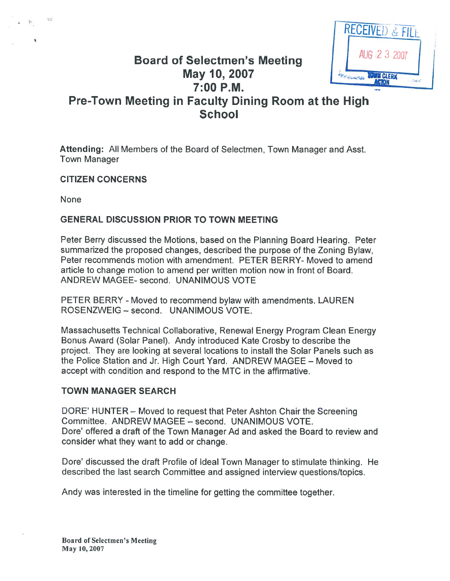

# Board of Selectmen's Meeting<br>May 10, 2007 7:00 P.M. Pre-Town Meeting in Faculty Dining Room at the High

**School** 

Attending: All Members of the Board of Selectmen, Town Manager and Asst. Town Manager

### CITIZEN CONCERNS

None

# GENERAL DISCUSSION PRIOR TO TOWN MEETING

Peter Berry discussed the Motions, based on the Planning Board Hearing. Peter summarized the proposed changes, described the purpose of the Zoning Bylaw, Peter recommends motion with amendment. PETER BERRY- Moved to amend article to change motion to amend per written motion now in front of Board. ANDREW MAGEE- second. UNANIMOUS VOTE

PETER BERRY - Moved to recommend bylaw with amendments. LAUREN ROSENZWEIG — second. UNANIMOUS VOTE.

Massachusetts Technical Collaborative, Renewal Energy Program Clean Energy Bonus Award (Solar Panel). Andy introduced Kate Crosby to describe the project. They are looking at several locations to install the Solar Panels such as the Police Station and Jr. High Court Yard. ANDREW MAGEE — Moved to accep<sup>t</sup> with condition and respond to the MTC in the affirmative.

# TOWN MANAGER SEARCH

DORE' HUNTER — Moved to reques<sup>t</sup> that Peter Ashton Chair the Screening Committee. ANDREW MAGEE — second. UNANIMOUS VOTE. Dore' offered <sup>a</sup> draft of the Town Manager Ad and asked the Board to review and consider what they want to add or change.

Dore' discussed the draft Profile of Ideal Town Manager to stimulate thinking. He described the last search Committee and assigned interview questions/topics.

Andy was interested in the timeline for getting the committee together.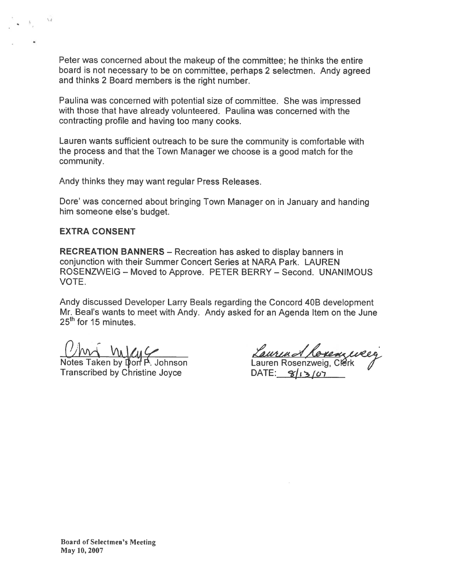Peter was concerned about the makeup of the committee; he thinks the entire board is not necessary to be on committee, perhaps <sup>2</sup> selectmen. Andy agree<sup>d</sup> and thinks 2 Board members is the right number.

Paulina was concerned with potential size of committee. She was impressed with those that have already volunteered. Paulina was concerned with the contracting profile and having too many cooks.

Lauren wants sufficient outreach to be sure the community is comfortable with the process and that the Town Manager we choose is <sup>a</sup> good match for the community.

Andy thinks they may want regular Press Releases.

Dote' was concerned about bringing Town Manager on in January and handing him someone else's budget.

#### EXTRA CONSENT

RECREATION BANNERS — Recreation has asked to display banners in conjunction with their Summer Concert Series at NARA Park. LAUREN ROSENZWEIG — Moved to Approve. PETER BERRY — Second. UNANIMOUS VOTE. Peter was concerned about the makeup of the committee; he thinks the entire<br>obard is not necessary to be on committee, perhaps 2 selectmen. Andy agreed<br>Paulina was concerned with potential size of committee. She was impres

Andy discussed Developer Larry Beals regarding the Concord 40B development

 $\frac{1}{2}$ <br>
2022<br>
2442 Notes Taken by Opon P. Johnson<br>
25442 Transcribed by Christine Joyce DATE:  $\frac{1}{3}$ /g ,